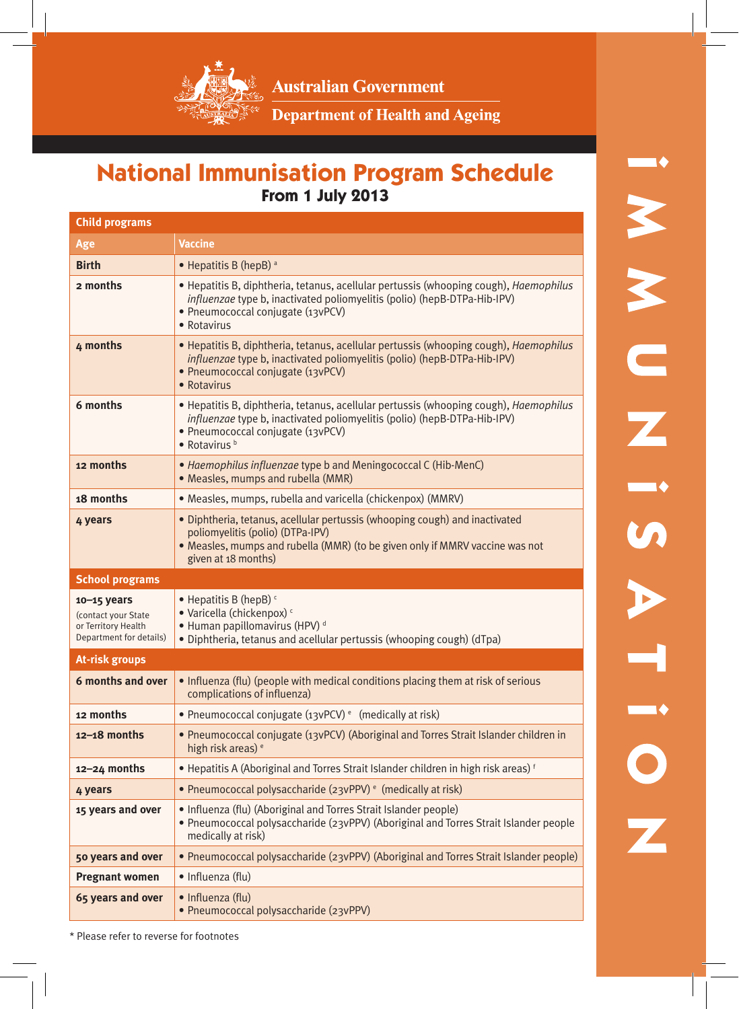

**Australian Government** 

Department of Health and Ageing

## **National Immunisation Program Schedule From 1 July 2013**

| <b>Child programs</b>                                                                    |                                                                                                                                                                                                                                       |  |
|------------------------------------------------------------------------------------------|---------------------------------------------------------------------------------------------------------------------------------------------------------------------------------------------------------------------------------------|--|
| Age                                                                                      | <b>Vaccine</b>                                                                                                                                                                                                                        |  |
| <b>Birth</b>                                                                             | • Hepatitis B (hepB) a                                                                                                                                                                                                                |  |
| 2 months                                                                                 | • Hepatitis B, diphtheria, tetanus, acellular pertussis (whooping cough), <i>Haemophilus</i><br><i>influenzae</i> type b, inactivated poliomyelitis (polio) (hepB-DTPa-Hib-IPV)<br>• Pneumococcal conjugate (13vPCV)<br>• Rotavirus   |  |
| 4 months                                                                                 | • Hepatitis B, diphtheria, tetanus, acellular pertussis (whooping cough), <i>Haemophilus</i><br>influenzae type b, inactivated poliomyelitis (polio) (hepB-DTPa-Hib-IPV)<br>· Pneumococcal conjugate (13vPCV)<br>• Rotavirus          |  |
| 6 months                                                                                 | • Hepatitis B, diphtheria, tetanus, acellular pertussis (whooping cough), <i>Haemophilus</i><br><i>influenzae</i> type b, inactivated poliomyelitis (polio) (hepB-DTPa-Hib-IPV)<br>· Pneumococcal conjugate (13vPCV)<br>• Rotavirus b |  |
| 12 months                                                                                | • Haemophilus influenzae type b and Meningococcal C (Hib-MenC)<br>• Measles, mumps and rubella (MMR)                                                                                                                                  |  |
| 18 months                                                                                | · Measles, mumps, rubella and varicella (chickenpox) (MMRV)                                                                                                                                                                           |  |
| 4 years                                                                                  | • Diphtheria, tetanus, acellular pertussis (whooping cough) and inactivated<br>poliomyelitis (polio) (DTPa-IPV)<br>• Measles, mumps and rubella (MMR) (to be given only if MMRV vaccine was not<br>given at 18 months)                |  |
|                                                                                          |                                                                                                                                                                                                                                       |  |
| <b>School programs</b>                                                                   |                                                                                                                                                                                                                                       |  |
| $10 - 15$ years<br>(contact your State<br>or Territory Health<br>Department for details) | • Hepatitis B (hepB) $\epsilon$<br>• Varicella (chickenpox) ·<br>• Human papillomavirus (HPV) <sup>d</sup><br>• Diphtheria, tetanus and acellular pertussis (whooping cough) (dTpa)                                                   |  |
| At-risk groups                                                                           |                                                                                                                                                                                                                                       |  |
| 6 months and over                                                                        | • Influenza (flu) (people with medical conditions placing them at risk of serious<br>complications of influenza)                                                                                                                      |  |
| 12 months                                                                                | • Pneumococcal conjugate $(i \times PCV)$ <sup>e</sup> (medically at risk)                                                                                                                                                            |  |
| $12 - 18$ months                                                                         | • Pneumococcal conjugate (13vPCV) (Aboriginal and Torres Strait Islander children in<br>high risk areas) <sup>e</sup>                                                                                                                 |  |
| 12–24 months                                                                             | • Hepatitis A (Aboriginal and Torres Strait Islander children in high risk areas) f                                                                                                                                                   |  |
| 4 years                                                                                  | • Pneumococcal polysaccharide (23vPPV) <sup>e</sup> (medically at risk)                                                                                                                                                               |  |
| 15 years and over                                                                        | • Influenza (flu) (Aboriginal and Torres Strait Islander people)<br>• Pneumococcal polysaccharide (23vPPV) (Aboriginal and Torres Strait Islander people<br>medically at risk)                                                        |  |
| 50 years and over                                                                        | • Pneumococcal polysaccharide (23vPPV) (Aboriginal and Torres Strait Islander people)                                                                                                                                                 |  |
| <b>Pregnant women</b>                                                                    | • Influenza (flu)                                                                                                                                                                                                                     |  |

\* Please refer to reverse for footnotes